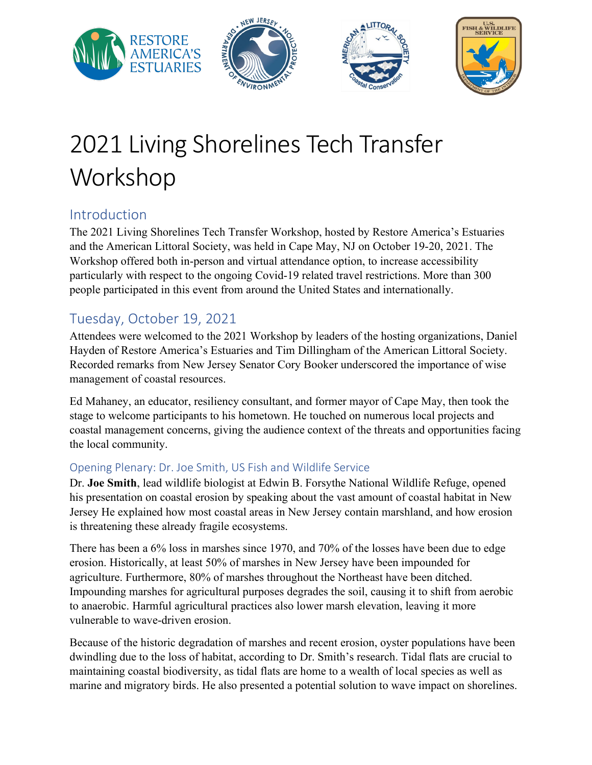

# 2021 Living Shorelines Tech Transfer Workshop

### Introduction

The 2021 Living Shorelines Tech Transfer Workshop, hosted by Restore America's Estuaries and the American Littoral Society, was held in Cape May, NJ on October 19-20, 2021. The Workshop offered both in-person and virtual attendance option, to increase accessibility particularly with respect to the ongoing Covid-19 related travel restrictions. More than 300 people participated in this event from around the United States and internationally.

### Tuesday, October 19, 2021

Attendees were welcomed to the 2021 Workshop by leaders of the hosting organizations, Daniel Hayden of Restore America's Estuaries and Tim Dillingham of the American Littoral Society. Recorded remarks from New Jersey Senator Cory Booker underscored the importance of wise management of coastal resources.

Ed Mahaney, an educator, resiliency consultant, and former mayor of Cape May, then took the stage to welcome participants to his hometown. He touched on numerous local projects and coastal management concerns, giving the audience context of the threats and opportunities facing the local community.

#### Opening Plenary: Dr. Joe Smith, US Fish and Wildlife Service

Dr. **Joe Smith**, lead wildlife biologist at Edwin B. Forsythe National Wildlife Refuge, opened his presentation on coastal erosion by speaking about the vast amount of coastal habitat in New Jersey He explained how most coastal areas in New Jersey contain marshland, and how erosion is threatening these already fragile ecosystems.

There has been a 6% loss in marshes since 1970, and 70% of the losses have been due to edge erosion. Historically, at least 50% of marshes in New Jersey have been impounded for agriculture. Furthermore, 80% of marshes throughout the Northeast have been ditched. Impounding marshes for agricultural purposes degrades the soil, causing it to shift from aerobic to anaerobic. Harmful agricultural practices also lower marsh elevation, leaving it more vulnerable to wave-driven erosion.

Because of the historic degradation of marshes and recent erosion, oyster populations have been dwindling due to the loss of habitat, according to Dr. Smith's research. Tidal flats are crucial to maintaining coastal biodiversity, as tidal flats are home to a wealth of local species as well as marine and migratory birds. He also presented a potential solution to wave impact on shorelines.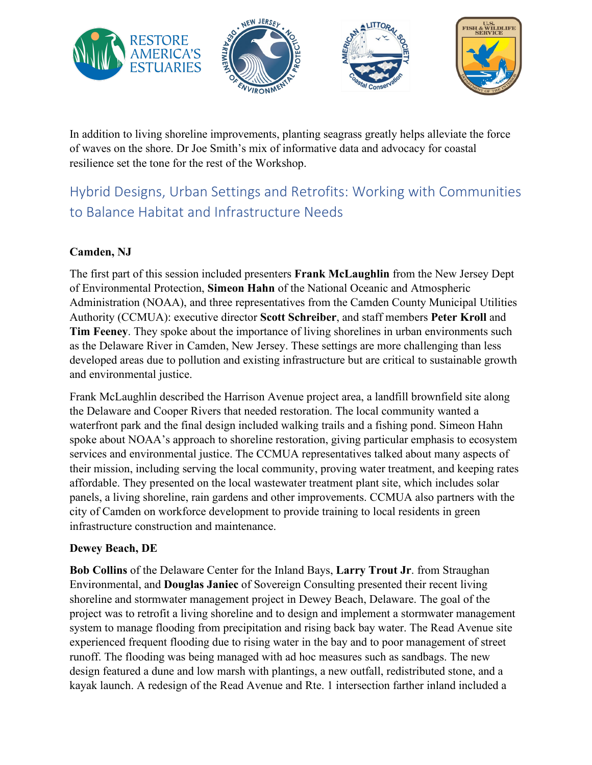

In addition to living shoreline improvements, planting seagrass greatly helps alleviate the force of waves on the shore. Dr Joe Smith's mix of informative data and advocacy for coastal resilience set the tone for the rest of the Workshop.

### Hybrid Designs, Urban Settings and Retrofits: Working with Communities to Balance Habitat and Infrastructure Needs

#### **Camden, NJ**

The first part of this session included presenters **Frank McLaughlin** from the New Jersey Dept of Environmental Protection, **Simeon Hahn** of the National Oceanic and Atmospheric Administration (NOAA), and three representatives from the Camden County Municipal Utilities Authority (CCMUA): executive director **Scott Schreiber**, and staff members **Peter Kroll** and **Tim Feeney**. They spoke about the importance of living shorelines in urban environments such as the Delaware River in Camden, New Jersey. These settings are more challenging than less developed areas due to pollution and existing infrastructure but are critical to sustainable growth and environmental justice.

Frank McLaughlin described the Harrison Avenue project area, a landfill brownfield site along the Delaware and Cooper Rivers that needed restoration. The local community wanted a waterfront park and the final design included walking trails and a fishing pond. Simeon Hahn spoke about NOAA's approach to shoreline restoration, giving particular emphasis to ecosystem services and environmental justice. The CCMUA representatives talked about many aspects of their mission, including serving the local community, proving water treatment, and keeping rates affordable. They presented on the local wastewater treatment plant site, which includes solar panels, a living shoreline, rain gardens and other improvements. CCMUA also partners with the city of Camden on workforce development to provide training to local residents in green infrastructure construction and maintenance.

#### **Dewey Beach, DE**

**Bob Collins** of the Delaware Center for the Inland Bays, **Larry Trout Jr**. from Straughan Environmental, and **Douglas Janiec** of Sovereign Consulting presented their recent living shoreline and stormwater management project in Dewey Beach, Delaware. The goal of the project was to retrofit a living shoreline and to design and implement a stormwater management system to manage flooding from precipitation and rising back bay water. The Read Avenue site experienced frequent flooding due to rising water in the bay and to poor management of street runoff. The flooding was being managed with ad hoc measures such as sandbags. The new design featured a dune and low marsh with plantings, a new outfall, redistributed stone, and a kayak launch. A redesign of the Read Avenue and Rte. 1 intersection farther inland included a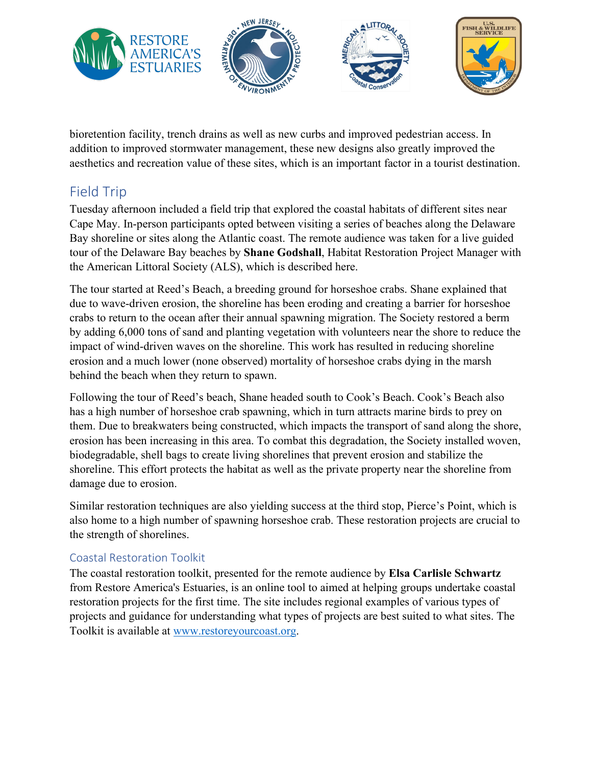

bioretention facility, trench drains as well as new curbs and improved pedestrian access. In addition to improved stormwater management, these new designs also greatly improved the aesthetics and recreation value of these sites, which is an important factor in a tourist destination.

### Field Trip

Tuesday afternoon included a field trip that explored the coastal habitats of different sites near Cape May. In-person participants opted between visiting a series of beaches along the Delaware Bay shoreline or sites along the Atlantic coast. The remote audience was taken for a live guided tour of the Delaware Bay beaches by **Shane Godshall**, Habitat Restoration Project Manager with the American Littoral Society (ALS), which is described here.

The tour started at Reed's Beach, a breeding ground for horseshoe crabs. Shane explained that due to wave-driven erosion, the shoreline has been eroding and creating a barrier for horseshoe crabs to return to the ocean after their annual spawning migration. The Society restored a berm by adding 6,000 tons of sand and planting vegetation with volunteers near the shore to reduce the impact of wind-driven waves on the shoreline. This work has resulted in reducing shoreline erosion and a much lower (none observed) mortality of horseshoe crabs dying in the marsh behind the beach when they return to spawn.

Following the tour of Reed's beach, Shane headed south to Cook's Beach. Cook's Beach also has a high number of horseshoe crab spawning, which in turn attracts marine birds to prey on them. Due to breakwaters being constructed, which impacts the transport of sand along the shore, erosion has been increasing in this area. To combat this degradation, the Society installed woven, biodegradable, shell bags to create living shorelines that prevent erosion and stabilize the shoreline. This effort protects the habitat as well as the private property near the shoreline from damage due to erosion.

Similar restoration techniques are also yielding success at the third stop, Pierce's Point, which is also home to a high number of spawning horseshoe crab. These restoration projects are crucial to the strength of shorelines.

#### Coastal Restoration Toolkit

The coastal restoration toolkit, presented for the remote audience by **Elsa Carlisle Schwartz** from Restore America's Estuaries, is an online tool to aimed at helping groups undertake coastal restoration projects for the first time. The site includes regional examples of various types of projects and guidance for understanding what types of projects are best suited to what sites. The Toolkit is available at [www.restoreyourcoast.org.](http://www.restoreyourcoast.org/)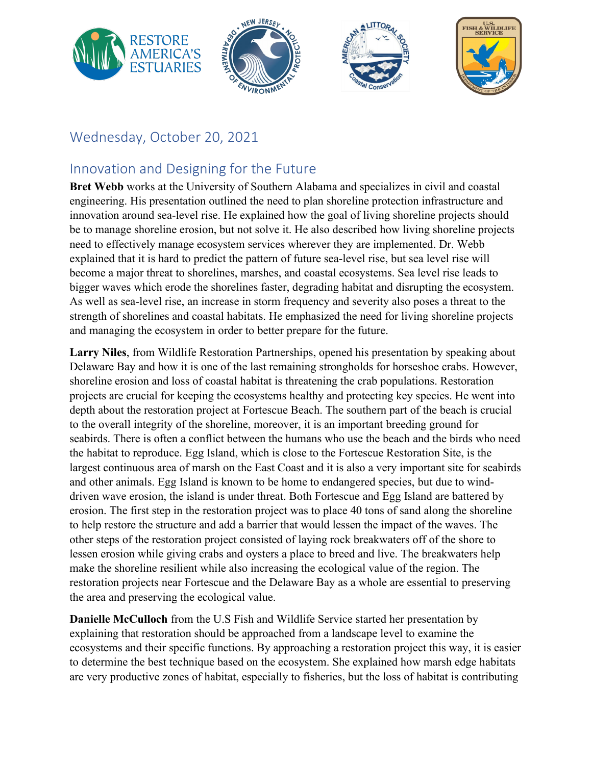

### Wednesday, October 20, 2021

### Innovation and Designing for the Future

**Bret Webb** works at the University of Southern Alabama and specializes in civil and coastal engineering. His presentation outlined the need to plan shoreline protection infrastructure and innovation around sea-level rise. He explained how the goal of living shoreline projects should be to manage shoreline erosion, but not solve it. He also described how living shoreline projects need to effectively manage ecosystem services wherever they are implemented. Dr. Webb explained that it is hard to predict the pattern of future sea-level rise, but sea level rise will become a major threat to shorelines, marshes, and coastal ecosystems. Sea level rise leads to bigger waves which erode the shorelines faster, degrading habitat and disrupting the ecosystem. As well as sea-level rise, an increase in storm frequency and severity also poses a threat to the strength of shorelines and coastal habitats. He emphasized the need for living shoreline projects and managing the ecosystem in order to better prepare for the future.

**Larry Niles**, from Wildlife Restoration Partnerships, opened his presentation by speaking about Delaware Bay and how it is one of the last remaining strongholds for horseshoe crabs. However, shoreline erosion and loss of coastal habitat is threatening the crab populations. Restoration projects are crucial for keeping the ecosystems healthy and protecting key species. He went into depth about the restoration project at Fortescue Beach. The southern part of the beach is crucial to the overall integrity of the shoreline, moreover, it is an important breeding ground for seabirds. There is often a conflict between the humans who use the beach and the birds who need the habitat to reproduce. Egg Island, which is close to the Fortescue Restoration Site, is the largest continuous area of marsh on the East Coast and it is also a very important site for seabirds and other animals. Egg Island is known to be home to endangered species, but due to winddriven wave erosion, the island is under threat. Both Fortescue and Egg Island are battered by erosion. The first step in the restoration project was to place 40 tons of sand along the shoreline to help restore the structure and add a barrier that would lessen the impact of the waves. The other steps of the restoration project consisted of laying rock breakwaters off of the shore to lessen erosion while giving crabs and oysters a place to breed and live. The breakwaters help make the shoreline resilient while also increasing the ecological value of the region. The restoration projects near Fortescue and the Delaware Bay as a whole are essential to preserving the area and preserving the ecological value.

**Danielle McCulloch** from the U.S Fish and Wildlife Service started her presentation by explaining that restoration should be approached from a landscape level to examine the ecosystems and their specific functions. By approaching a restoration project this way, it is easier to determine the best technique based on the ecosystem. She explained how marsh edge habitats are very productive zones of habitat, especially to fisheries, but the loss of habitat is contributing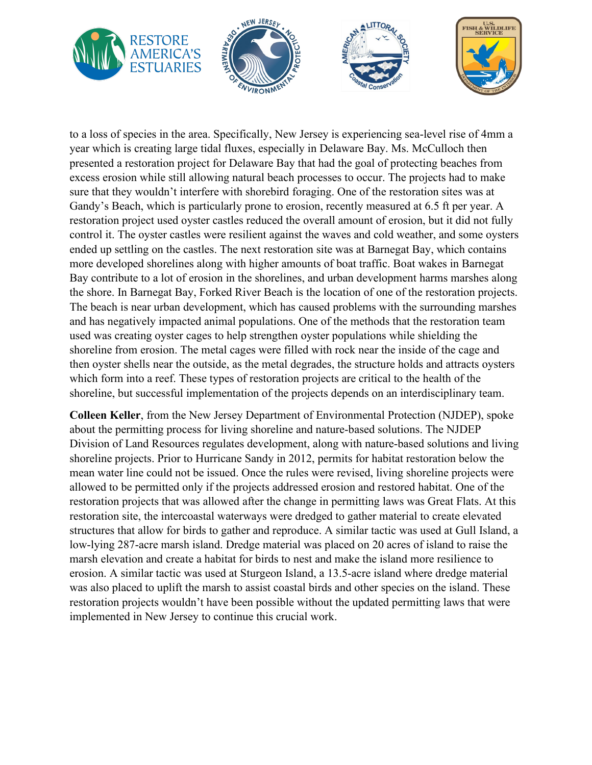

to a loss of species in the area. Specifically, New Jersey is experiencing sea-level rise of 4mm a year which is creating large tidal fluxes, especially in Delaware Bay. Ms. McCulloch then presented a restoration project for Delaware Bay that had the goal of protecting beaches from excess erosion while still allowing natural beach processes to occur. The projects had to make sure that they wouldn't interfere with shorebird foraging. One of the restoration sites was at Gandy's Beach, which is particularly prone to erosion, recently measured at 6.5 ft per year. A restoration project used oyster castles reduced the overall amount of erosion, but it did not fully control it. The oyster castles were resilient against the waves and cold weather, and some oysters ended up settling on the castles. The next restoration site was at Barnegat Bay, which contains more developed shorelines along with higher amounts of boat traffic. Boat wakes in Barnegat Bay contribute to a lot of erosion in the shorelines, and urban development harms marshes along the shore. In Barnegat Bay, Forked River Beach is the location of one of the restoration projects. The beach is near urban development, which has caused problems with the surrounding marshes and has negatively impacted animal populations. One of the methods that the restoration team used was creating oyster cages to help strengthen oyster populations while shielding the shoreline from erosion. The metal cages were filled with rock near the inside of the cage and then oyster shells near the outside, as the metal degrades, the structure holds and attracts oysters which form into a reef. These types of restoration projects are critical to the health of the shoreline, but successful implementation of the projects depends on an interdisciplinary team.

**Colleen Keller**, from the New Jersey Department of Environmental Protection (NJDEP), spoke about the permitting process for living shoreline and nature-based solutions. The NJDEP Division of Land Resources regulates development, along with nature-based solutions and living shoreline projects. Prior to Hurricane Sandy in 2012, permits for habitat restoration below the mean water line could not be issued. Once the rules were revised, living shoreline projects were allowed to be permitted only if the projects addressed erosion and restored habitat. One of the restoration projects that was allowed after the change in permitting laws was Great Flats. At this restoration site, the intercoastal waterways were dredged to gather material to create elevated structures that allow for birds to gather and reproduce. A similar tactic was used at Gull Island, a low-lying 287-acre marsh island. Dredge material was placed on 20 acres of island to raise the marsh elevation and create a habitat for birds to nest and make the island more resilience to erosion. A similar tactic was used at Sturgeon Island, a 13.5-acre island where dredge material was also placed to uplift the marsh to assist coastal birds and other species on the island. These restoration projects wouldn't have been possible without the updated permitting laws that were implemented in New Jersey to continue this crucial work.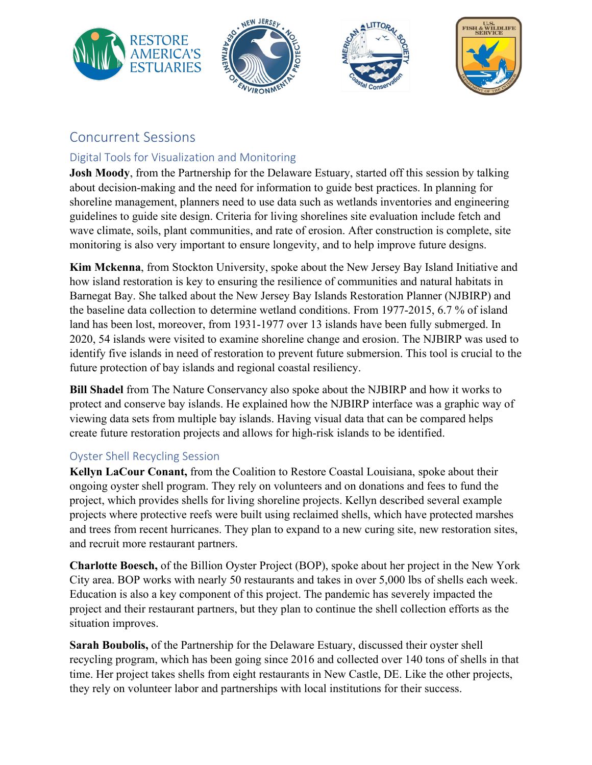

### Concurrent Sessions

### Digital Tools for Visualization and Monitoring

**Josh Moody**, from the Partnership for the Delaware Estuary, started off this session by talking about decision-making and the need for information to guide best practices. In planning for shoreline management, planners need to use data such as wetlands inventories and engineering guidelines to guide site design. Criteria for living shorelines site evaluation include fetch and wave climate, soils, plant communities, and rate of erosion. After construction is complete, site monitoring is also very important to ensure longevity, and to help improve future designs.

**Kim Mckenna**, from Stockton University, spoke about the New Jersey Bay Island Initiative and how island restoration is key to ensuring the resilience of communities and natural habitats in Barnegat Bay. She talked about the New Jersey Bay Islands Restoration Planner (NJBIRP) and the baseline data collection to determine wetland conditions. From 1977-2015, 6.7 % of island land has been lost, moreover, from 1931-1977 over 13 islands have been fully submerged. In 2020, 54 islands were visited to examine shoreline change and erosion. The NJBIRP was used to identify five islands in need of restoration to prevent future submersion. This tool is crucial to the future protection of bay islands and regional coastal resiliency.

**Bill Shadel** from The Nature Conservancy also spoke about the NJBIRP and how it works to protect and conserve bay islands. He explained how the NJBIRP interface was a graphic way of viewing data sets from multiple bay islands. Having visual data that can be compared helps create future restoration projects and allows for high-risk islands to be identified.

#### Oyster Shell Recycling Session

**Kellyn LaCour Conant,** from the Coalition to Restore Coastal Louisiana, spoke about their ongoing oyster shell program. They rely on volunteers and on donations and fees to fund the project, which provides shells for living shoreline projects. Kellyn described several example projects where protective reefs were built using reclaimed shells, which have protected marshes and trees from recent hurricanes. They plan to expand to a new curing site, new restoration sites, and recruit more restaurant partners.

**Charlotte Boesch,** of the Billion Oyster Project (BOP), spoke about her project in the New York City area. BOP works with nearly 50 restaurants and takes in over 5,000 lbs of shells each week. Education is also a key component of this project. The pandemic has severely impacted the project and their restaurant partners, but they plan to continue the shell collection efforts as the situation improves.

**Sarah Boubolis,** of the Partnership for the Delaware Estuary, discussed their oyster shell recycling program, which has been going since 2016 and collected over 140 tons of shells in that time. Her project takes shells from eight restaurants in New Castle, DE. Like the other projects, they rely on volunteer labor and partnerships with local institutions for their success.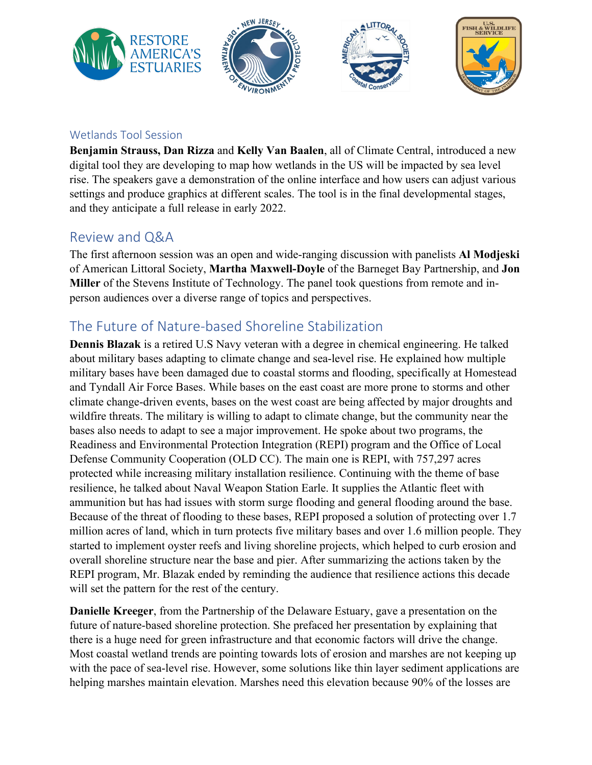

#### Wetlands Tool Session

**Benjamin Strauss, Dan Rizza** and **Kelly Van Baalen**, all of Climate Central, introduced a new digital tool they are developing to map how wetlands in the US will be impacted by sea level rise. The speakers gave a demonstration of the online interface and how users can adjust various settings and produce graphics at different scales. The tool is in the final developmental stages, and they anticipate a full release in early 2022.

### Review and Q&A

The first afternoon session was an open and wide-ranging discussion with panelists **Al Modjeski** of American Littoral Society, **Martha Maxwell-Doyle** of the Barneget Bay Partnership, and **Jon Miller** of the Stevens Institute of Technology. The panel took questions from remote and inperson audiences over a diverse range of topics and perspectives.

### The Future of Nature-based Shoreline Stabilization

**Dennis Blazak** is a retired U.S Navy veteran with a degree in chemical engineering. He talked about military bases adapting to climate change and sea-level rise. He explained how multiple military bases have been damaged due to coastal storms and flooding, specifically at Homestead and Tyndall Air Force Bases. While bases on the east coast are more prone to storms and other climate change-driven events, bases on the west coast are being affected by major droughts and wildfire threats. The military is willing to adapt to climate change, but the community near the bases also needs to adapt to see a major improvement. He spoke about two programs, the Readiness and Environmental Protection Integration (REPI) program and the Office of Local Defense Community Cooperation (OLD CC). The main one is REPI, with 757,297 acres protected while increasing military installation resilience. Continuing with the theme of base resilience, he talked about Naval Weapon Station Earle. It supplies the Atlantic fleet with ammunition but has had issues with storm surge flooding and general flooding around the base. Because of the threat of flooding to these bases, REPI proposed a solution of protecting over 1.7 million acres of land, which in turn protects five military bases and over 1.6 million people. They started to implement oyster reefs and living shoreline projects, which helped to curb erosion and overall shoreline structure near the base and pier. After summarizing the actions taken by the REPI program, Mr. Blazak ended by reminding the audience that resilience actions this decade will set the pattern for the rest of the century.

**Danielle Kreeger**, from the Partnership of the Delaware Estuary, gave a presentation on the future of nature-based shoreline protection. She prefaced her presentation by explaining that there is a huge need for green infrastructure and that economic factors will drive the change. Most coastal wetland trends are pointing towards lots of erosion and marshes are not keeping up with the pace of sea-level rise. However, some solutions like thin layer sediment applications are helping marshes maintain elevation. Marshes need this elevation because 90% of the losses are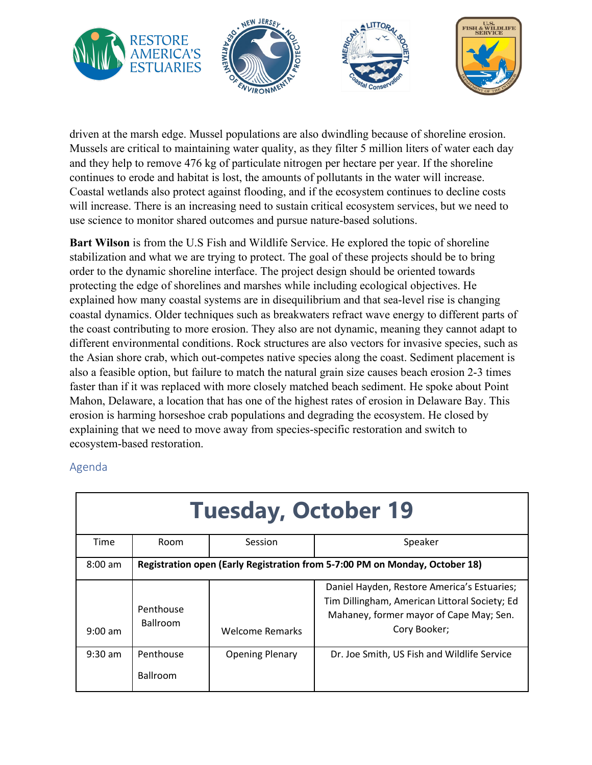

driven at the marsh edge. Mussel populations are also dwindling because of shoreline erosion. Mussels are critical to maintaining water quality, as they filter 5 million liters of water each day and they help to remove 476 kg of particulate nitrogen per hectare per year. If the shoreline continues to erode and habitat is lost, the amounts of pollutants in the water will increase. Coastal wetlands also protect against flooding, and if the ecosystem continues to decline costs will increase. There is an increasing need to sustain critical ecosystem services, but we need to use science to monitor shared outcomes and pursue nature-based solutions.

**Bart Wilson** is from the U.S Fish and Wildlife Service. He explored the topic of shoreline stabilization and what we are trying to protect. The goal of these projects should be to bring order to the dynamic shoreline interface. The project design should be oriented towards protecting the edge of shorelines and marshes while including ecological objectives. He explained how many coastal systems are in disequilibrium and that sea-level rise is changing coastal dynamics. Older techniques such as breakwaters refract wave energy to different parts of the coast contributing to more erosion. They also are not dynamic, meaning they cannot adapt to different environmental conditions. Rock structures are also vectors for invasive species, such as the Asian shore crab, which out-competes native species along the coast. Sediment placement is also a feasible option, but failure to match the natural grain size causes beach erosion 2-3 times faster than if it was replaced with more closely matched beach sediment. He spoke about Point Mahon, Delaware, a location that has one of the highest rates of erosion in Delaware Bay. This erosion is harming horseshoe crab populations and degrading the ecosystem. He closed by explaining that we need to move away from species-specific restoration and switch to ecosystem-based restoration.

#### Agenda

| <b>Tuesday, October 19</b> |                                                                             |                        |                                                                                                                                                         |  |  |  |
|----------------------------|-----------------------------------------------------------------------------|------------------------|---------------------------------------------------------------------------------------------------------------------------------------------------------|--|--|--|
| Time                       | <b>Room</b>                                                                 | Session                | Speaker                                                                                                                                                 |  |  |  |
| $8:00$ am                  | Registration open (Early Registration from 5-7:00 PM on Monday, October 18) |                        |                                                                                                                                                         |  |  |  |
| $9:00$ am                  | Penthouse<br><b>Ballroom</b>                                                | <b>Welcome Remarks</b> | Daniel Hayden, Restore America's Estuaries;<br>Tim Dillingham, American Littoral Society; Ed<br>Mahaney, former mayor of Cape May; Sen.<br>Cory Booker; |  |  |  |
| $9:30$ am                  | Penthouse<br><b>Ballroom</b>                                                | <b>Opening Plenary</b> | Dr. Joe Smith, US Fish and Wildlife Service                                                                                                             |  |  |  |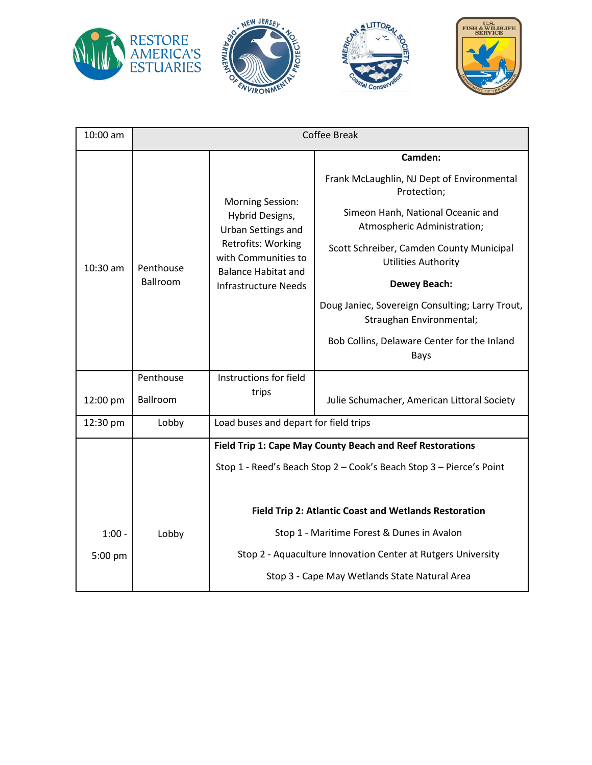







| 10:00 am | <b>Coffee Break</b>   |                                                                                                                                                                            |                                                                                                                                                                                                                                                                                                                                                                                 |  |
|----------|-----------------------|----------------------------------------------------------------------------------------------------------------------------------------------------------------------------|---------------------------------------------------------------------------------------------------------------------------------------------------------------------------------------------------------------------------------------------------------------------------------------------------------------------------------------------------------------------------------|--|
| 10:30 am | Penthouse<br>Ballroom | <b>Morning Session:</b><br>Hybrid Designs,<br>Urban Settings and<br>Retrofits: Working<br>with Communities to<br><b>Balance Habitat and</b><br><b>Infrastructure Needs</b> | Camden:<br>Frank McLaughlin, NJ Dept of Environmental<br>Protection;<br>Simeon Hanh, National Oceanic and<br>Atmospheric Administration;<br>Scott Schreiber, Camden County Municipal<br><b>Utilities Authority</b><br><b>Dewey Beach:</b><br>Doug Janiec, Sovereign Consulting; Larry Trout,<br>Straughan Environmental;<br>Bob Collins, Delaware Center for the Inland<br>Bays |  |
| 12:00 pm | Penthouse<br>Ballroom | Instructions for field<br>trips                                                                                                                                            | Julie Schumacher, American Littoral Society                                                                                                                                                                                                                                                                                                                                     |  |
| 12:30 pm | Lobby                 | Load buses and depart for field trips                                                                                                                                      |                                                                                                                                                                                                                                                                                                                                                                                 |  |
|          |                       | Field Trip 1: Cape May County Beach and Reef Restorations                                                                                                                  |                                                                                                                                                                                                                                                                                                                                                                                 |  |
|          |                       | Stop 1 - Reed's Beach Stop 2 - Cook's Beach Stop 3 - Pierce's Point<br>Field Trip 2: Atlantic Coast and Wetlands Restoration                                               |                                                                                                                                                                                                                                                                                                                                                                                 |  |
| $1:00 -$ | Lobby                 | Stop 1 - Maritime Forest & Dunes in Avalon                                                                                                                                 |                                                                                                                                                                                                                                                                                                                                                                                 |  |
| 5:00 pm  |                       | Stop 2 - Aquaculture Innovation Center at Rutgers University                                                                                                               |                                                                                                                                                                                                                                                                                                                                                                                 |  |
|          |                       | Stop 3 - Cape May Wetlands State Natural Area                                                                                                                              |                                                                                                                                                                                                                                                                                                                                                                                 |  |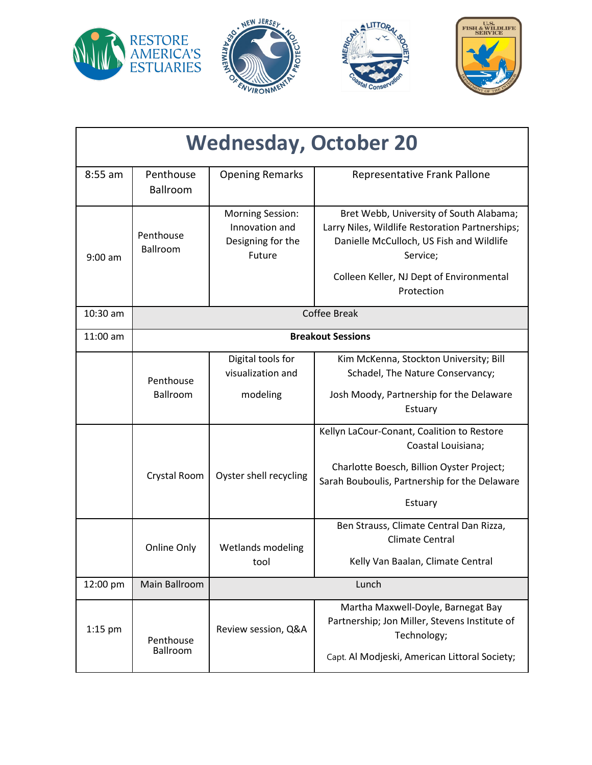

| <b>Wednesday, October 20</b> |                              |                                                                          |                                                                                                                                                                                                |  |  |  |
|------------------------------|------------------------------|--------------------------------------------------------------------------|------------------------------------------------------------------------------------------------------------------------------------------------------------------------------------------------|--|--|--|
| $8:55$ am                    | Penthouse<br><b>Ballroom</b> | <b>Opening Remarks</b>                                                   | Representative Frank Pallone                                                                                                                                                                   |  |  |  |
| $9:00$ am                    | Penthouse<br>Ballroom        | <b>Morning Session:</b><br>Innovation and<br>Designing for the<br>Future | Bret Webb, University of South Alabama;<br>Larry Niles, Wildlife Restoration Partnerships;<br>Danielle McCulloch, US Fish and Wildlife<br>Service;<br>Colleen Keller, NJ Dept of Environmental |  |  |  |
|                              |                              |                                                                          | Protection                                                                                                                                                                                     |  |  |  |
| 10:30 am                     | <b>Coffee Break</b>          |                                                                          |                                                                                                                                                                                                |  |  |  |
| 11:00 am                     | <b>Breakout Sessions</b>     |                                                                          |                                                                                                                                                                                                |  |  |  |
|                              | Penthouse<br><b>Ballroom</b> | Digital tools for<br>visualization and<br>modeling                       | Kim McKenna, Stockton University; Bill<br>Schadel, The Nature Conservancy;<br>Josh Moody, Partnership for the Delaware                                                                         |  |  |  |
|                              | Crystal Room                 | Oyster shell recycling                                                   | Estuary<br>Kellyn LaCour-Conant, Coalition to Restore<br>Coastal Louisiana;<br>Charlotte Boesch, Billion Oyster Project;<br>Sarah Bouboulis, Partnership for the Delaware<br>Estuary           |  |  |  |
|                              | Online Only                  | <b>Wetlands modeling</b><br>tool                                         | Ben Strauss, Climate Central Dan Rizza,<br><b>Climate Central</b><br>Kelly Van Baalan, Climate Central                                                                                         |  |  |  |
| 12:00 pm                     | Main Ballroom                | Lunch                                                                    |                                                                                                                                                                                                |  |  |  |
| $1:15$ pm                    | Penthouse<br>Ballroom        | Review session, Q&A                                                      | Martha Maxwell-Doyle, Barnegat Bay<br>Partnership; Jon Miller, Stevens Institute of<br>Technology;<br>Capt. Al Modjeski, American Littoral Society;                                            |  |  |  |